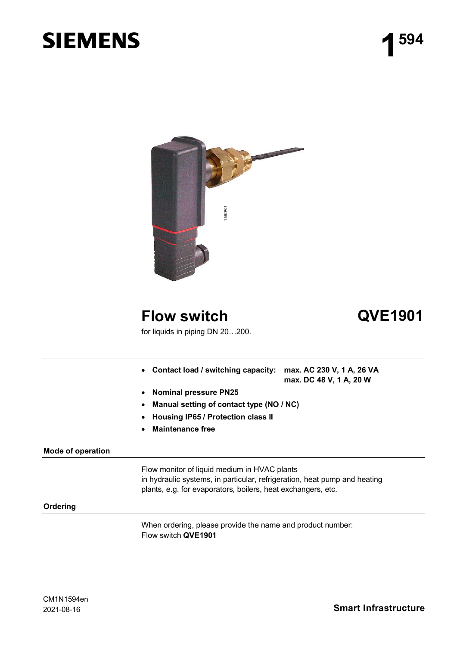# **SIEMENS**



## **Flow switch QVE1901**

for liquids in piping DN 20…200.

- **Contact load / switching capacity: max. AC 230 V, 1 A, 26 VA**
	- **max. DC 48 V, 1 A, 20 W**
- **Nominal pressure PN25**
- **Manual setting of contact type (NO / NC)**
- **Housing IP65 / Protection class II**
- **Maintenance free**

#### **Mode of operation**

Flow monitor of liquid medium in HVAC plants in hydraulic systems, in particular, refrigeration, heat pump and heating plants, e.g. for evaporators, boilers, heat exchangers, etc.

#### **Ordering**

When ordering, please provide the name and product number: Flow switch **QVE1901**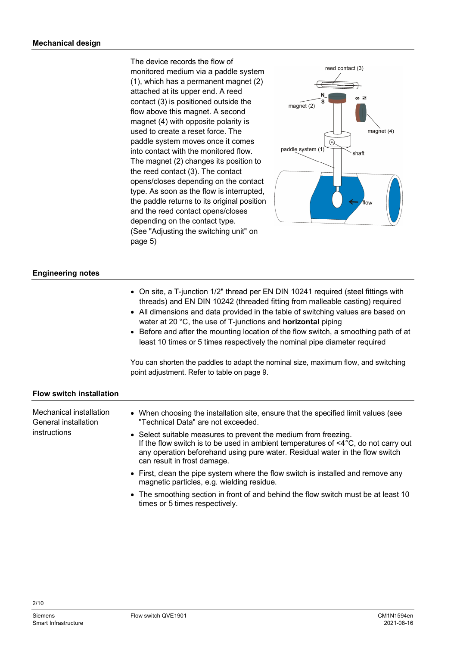The device records the flow of monitored medium via a paddle system (1), which has a permanent magnet (2) attached at its upper end. A reed contact (3) is positioned outside the flow above this magnet. A second magnet (4) with opposite polarity is used to create a reset force. The paddle system moves once it comes into contact with the monitored flow. The magnet (2) changes its position to the reed contact (3). The contact opens/closes depending on the contact type. As soon as the flow is interrupted, the paddle returns to its original position and the reed contact opens/closes depending on the contact type. (See "Adjusting the switching unit" on page 5)



#### **Engineering notes**

|                                                 | • On site, a T-junction 1/2" thread per EN DIN 10241 required (steel fittings with<br>threads) and EN DIN 10242 (threaded fitting from malleable casting) required<br>• All dimensions and data provided in the table of switching values are based on<br>water at 20 $\degree$ C, the use of T-junctions and <b>horizontal</b> piping<br>• Before and after the mounting location of the flow switch, a smoothing path of at<br>least 10 times or 5 times respectively the nominal pipe diameter required<br>You can shorten the paddles to adapt the nominal size, maximum flow, and switching<br>point adjustment. Refer to table on page 9. |
|-------------------------------------------------|-------------------------------------------------------------------------------------------------------------------------------------------------------------------------------------------------------------------------------------------------------------------------------------------------------------------------------------------------------------------------------------------------------------------------------------------------------------------------------------------------------------------------------------------------------------------------------------------------------------------------------------------------|
| <b>Flow switch installation</b>                 |                                                                                                                                                                                                                                                                                                                                                                                                                                                                                                                                                                                                                                                 |
| Mechanical installation<br>General installation | • When choosing the installation site, ensure that the specified limit values (see<br>"Technical Data" are not exceeded.                                                                                                                                                                                                                                                                                                                                                                                                                                                                                                                        |
| instructions                                    | • Select suitable measures to prevent the medium from freezing.<br>If the flow switch is to be used in ambient temperatures of $\leq 4^{\circ}C$ , do not carry out<br>any operation beforehand using pure water. Residual water in the flow switch<br>can result in frost damage.                                                                                                                                                                                                                                                                                                                                                              |
|                                                 | • First, clean the pipe system where the flow switch is installed and remove any<br>magnetic particles, e.g. wielding residue.                                                                                                                                                                                                                                                                                                                                                                                                                                                                                                                  |

• The smoothing section in front of and behind the flow switch must be at least 10 times or 5 times respectively.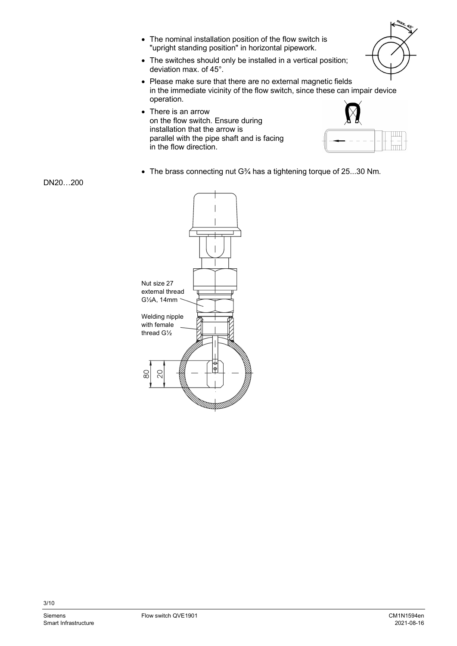- The nominal installation position of the flow switch is "upright standing position" in horizontal pipework.
- The switches should only be installed in a vertical position; deviation max. of 45°.
- Please make sure that there are no external magnetic fields in the immediate vicinity of the flow switch, since these can impair device operation.
- There is an arrow on the flow switch. Ensure during installation that the arrow is parallel with the pipe shaft and is facing in the flow direction.



The brass connecting nut G¾ has a tightening torque of 25...30 Nm.

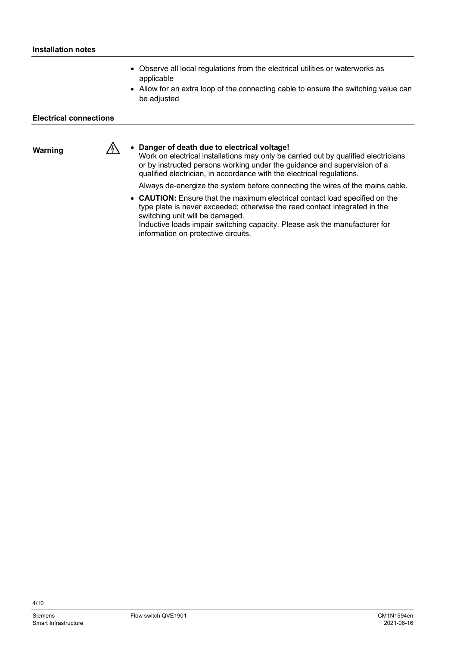- Observe all local regulations from the electrical utilities or waterworks as applicable
- Allow for an extra loop of the connecting cable to ensure the switching value can be adjusted

#### **Electrical connections**

**Warning**

#### **Danger of death due to electrical voltage!**

Work on electrical installations may only be carried out by qualified electricians or by instructed persons working under the guidance and supervision of a qualified electrician, in accordance with the electrical regulations.

Always de-energize the system before connecting the wires of the mains cable.

 **CAUTION:** Ensure that the maximum electrical contact load specified on the type plate is never exceeded; otherwise the reed contact integrated in the switching unit will be damaged.

Inductive loads impair switching capacity. Please ask the manufacturer for information on protective circuits.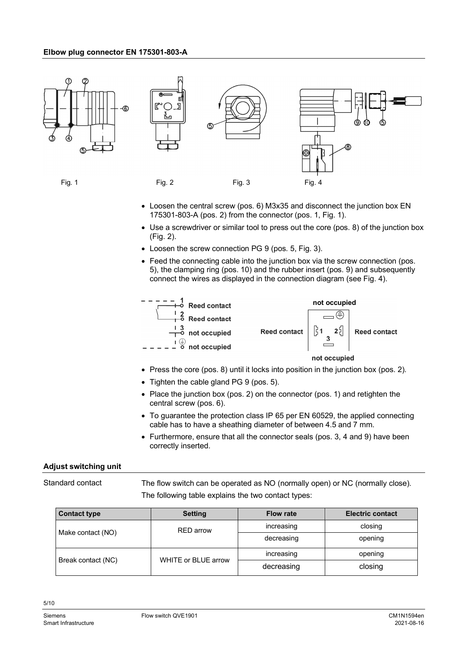#### **Elbow plug connector EN 175301-803-A**



- Loosen the central screw (pos. 6) M3x35 and disconnect the junction box EN 175301-803-A (pos. 2) from the connector (pos. 1, Fig. 1).
- Use a screwdriver or similar tool to press out the core (pos. 8) of the junction box (Fig. 2).
- Loosen the screw connection PG 9 (pos. 5, Fig. 3).
- Feed the connecting cable into the junction box via the screw connection (pos. 5), the clamping ring (pos. 10) and the rubber insert (pos. 9) and subsequently connect the wires as displayed in the connection diagram (see Fig. 4).



- Press the core (pos. 8) until it locks into position in the junction box (pos. 2).
- Tighten the cable gland PG 9 (pos. 5).
- Place the junction box (pos. 2) on the connector (pos. 1) and retighten the central screw (pos. 6).
- To guarantee the protection class IP 65 per EN 60529, the applied connecting cable has to have a sheathing diameter of between 4.5 and 7 mm.
- Furthermore, ensure that all the connector seals (pos. 3, 4 and 9) have been correctly inserted.

#### **Adjust switching unit**

Standard contact

The flow switch can be operated as NO (normally open) or NC (normally close). The following table explains the two contact types:

| <b>Contact type</b> | <b>Setting</b>      | <b>Flow rate</b> | <b>Electric contact</b> |  |  |  |
|---------------------|---------------------|------------------|-------------------------|--|--|--|
|                     | RED arrow           | increasing       | closing                 |  |  |  |
| Make contact (NO)   |                     | decreasing       | opening                 |  |  |  |
|                     |                     | increasing       | opening                 |  |  |  |
| Break contact (NC)  | WHITE or BLUE arrow | decreasing       | closing                 |  |  |  |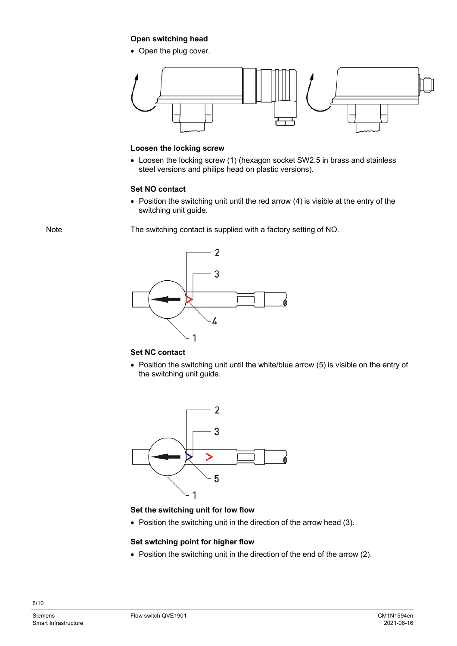#### **Open switching head**

• Open the plug cover.



#### **Loosen the locking screw**

 Loosen the locking screw (1) (hexagon socket SW2.5 in brass and stainless steel versions and philips head on plastic versions).

### **Set NO contact**

• Position the switching unit until the red arrow (4) is visible at the entry of the switching unit guide.

Note

The switching contact is supplied with a factory setting of NO.



#### **Set NC contact**

• Position the switching unit until the white/blue arrow (5) is visible on the entry of the switching unit guide.



#### **Set the switching unit for low flow**

• Position the switching unit in the direction of the arrow head (3).

#### **Set swtching point for higher flow**

• Position the switching unit in the direction of the end of the arrow (2).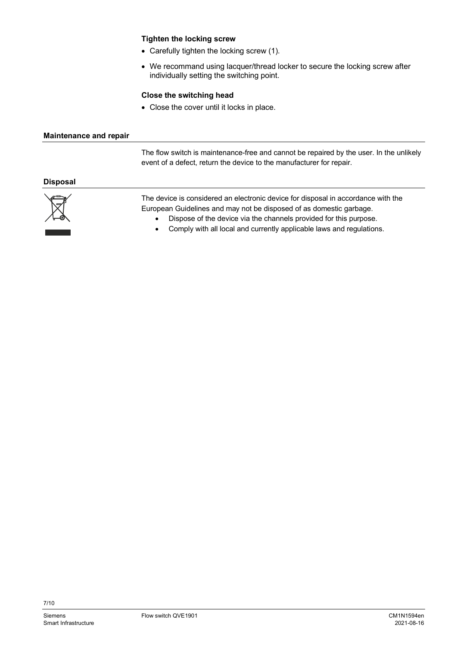#### **Tighten the locking screw**

- Carefully tighten the locking screw (1).
- We recommand using lacquer/thread locker to secure the locking screw after individually setting the switching point.

#### **Close the switching head**

• Close the cover until it locks in place.

#### **Maintenance and repair**

The flow switch is maintenance-free and cannot be repaired by the user. In the unlikely event of a defect, return the device to the manufacturer for repair.

#### **Disposal**



The device is considered an electronic device for disposal in accordance with the European Guidelines and may not be disposed of as domestic garbage.

- Dispose of the device via the channels provided for this purpose.
- Comply with all local and currently applicable laws and regulations.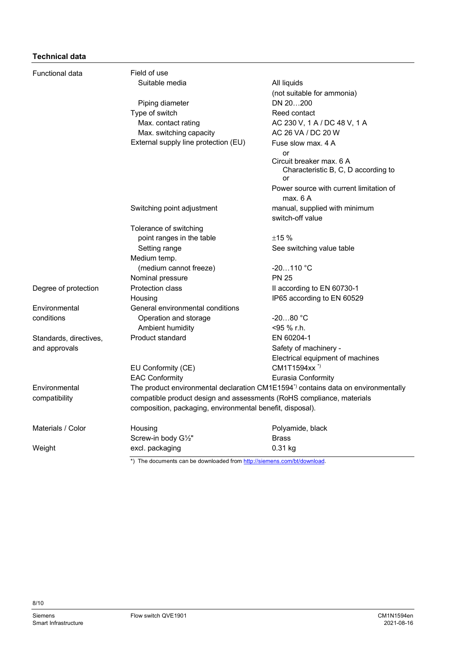### **Technical data**

| Functional data        | Field of use                                                            |                                                                                                                  |  |  |  |  |  |  |  |  |  |
|------------------------|-------------------------------------------------------------------------|------------------------------------------------------------------------------------------------------------------|--|--|--|--|--|--|--|--|--|
|                        | Suitable media                                                          | All liquids                                                                                                      |  |  |  |  |  |  |  |  |  |
|                        |                                                                         | (not suitable for ammonia)                                                                                       |  |  |  |  |  |  |  |  |  |
|                        | Piping diameter                                                         | DN 20200                                                                                                         |  |  |  |  |  |  |  |  |  |
|                        | Type of switch                                                          | Reed contact                                                                                                     |  |  |  |  |  |  |  |  |  |
|                        | Max. contact rating                                                     | AC 230 V, 1 A / DC 48 V, 1 A                                                                                     |  |  |  |  |  |  |  |  |  |
|                        | Max. switching capacity                                                 | AC 26 VA / DC 20 W                                                                                               |  |  |  |  |  |  |  |  |  |
|                        | External supply line protection (EU)                                    | Fuse slow max, 4 A                                                                                               |  |  |  |  |  |  |  |  |  |
|                        |                                                                         | or                                                                                                               |  |  |  |  |  |  |  |  |  |
|                        |                                                                         | Circuit breaker max. 6 A<br>Characteristic B, C, D according to<br>or<br>Power source with current limitation of |  |  |  |  |  |  |  |  |  |
|                        |                                                                         |                                                                                                                  |  |  |  |  |  |  |  |  |  |
|                        |                                                                         | max. 6 A                                                                                                         |  |  |  |  |  |  |  |  |  |
|                        | Switching point adjustment                                              | manual, supplied with minimum<br>switch-off value                                                                |  |  |  |  |  |  |  |  |  |
|                        | Tolerance of switching                                                  |                                                                                                                  |  |  |  |  |  |  |  |  |  |
|                        | point ranges in the table                                               | ±15%                                                                                                             |  |  |  |  |  |  |  |  |  |
|                        | Setting range                                                           | See switching value table                                                                                        |  |  |  |  |  |  |  |  |  |
|                        | Medium temp.                                                            |                                                                                                                  |  |  |  |  |  |  |  |  |  |
|                        | (medium cannot freeze)                                                  | $-20110 °C$                                                                                                      |  |  |  |  |  |  |  |  |  |
|                        | Nominal pressure                                                        | <b>PN 25</b>                                                                                                     |  |  |  |  |  |  |  |  |  |
| Degree of protection   | <b>Protection class</b>                                                 | Il according to EN 60730-1                                                                                       |  |  |  |  |  |  |  |  |  |
|                        | Housing                                                                 | IP65 according to EN 60529                                                                                       |  |  |  |  |  |  |  |  |  |
| Environmental          | General environmental conditions                                        |                                                                                                                  |  |  |  |  |  |  |  |  |  |
| conditions             | Operation and storage                                                   | $-2080 °C$                                                                                                       |  |  |  |  |  |  |  |  |  |
|                        | Ambient humidity                                                        | <95 % r.h.                                                                                                       |  |  |  |  |  |  |  |  |  |
| Standards, directives, | Product standard                                                        | EN 60204-1                                                                                                       |  |  |  |  |  |  |  |  |  |
| and approvals          |                                                                         | Safety of machinery -                                                                                            |  |  |  |  |  |  |  |  |  |
|                        |                                                                         | Electrical equipment of machines                                                                                 |  |  |  |  |  |  |  |  |  |
|                        | EU Conformity (CE)                                                      | CM1T1594xx <sup>*)</sup>                                                                                         |  |  |  |  |  |  |  |  |  |
|                        | <b>EAC Conformity</b>                                                   | Eurasia Conformity                                                                                               |  |  |  |  |  |  |  |  |  |
| Environmental          |                                                                         | The product environmental declaration CM1E1594 <sup>*</sup> contains data on environmentally                     |  |  |  |  |  |  |  |  |  |
| compatibility          |                                                                         | compatible product design and assessments (RoHS compliance, materials                                            |  |  |  |  |  |  |  |  |  |
|                        | composition, packaging, environmental benefit, disposal).               |                                                                                                                  |  |  |  |  |  |  |  |  |  |
| Materials / Color      | Housing                                                                 | Polyamide, black                                                                                                 |  |  |  |  |  |  |  |  |  |
|                        | Screw-in body G1/2"                                                     | <b>Brass</b>                                                                                                     |  |  |  |  |  |  |  |  |  |
| Weight                 | excl. packaging                                                         | 0.31 kg                                                                                                          |  |  |  |  |  |  |  |  |  |
|                        | *) The documents can be downloaded from http://siemens.com/bt/download. |                                                                                                                  |  |  |  |  |  |  |  |  |  |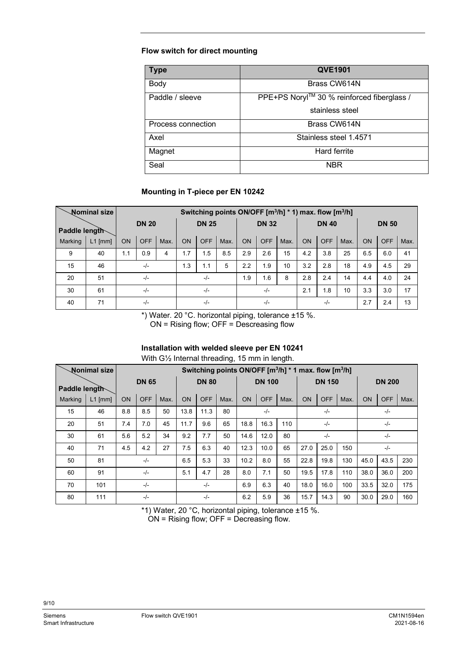### **Flow switch for direct mounting**

| <b>Type</b>        | <b>QVE1901</b>                             |
|--------------------|--------------------------------------------|
| Body               | Brass CW614N                               |
| Paddle / sleeve    | PPE+PS Noryl™ 30 % reinforced fiberglass / |
|                    | stainless steel                            |
| Process connection | Brass CW614N                               |
| Axel               | Stainless steel 1.4571                     |
| Magnet             | <b>Hard ferrite</b>                        |
| Seal               | <b>NBR</b>                                 |

### **Mounting in T-piece per EN 10242**

|               | <b>Nominal size</b> |              |            | Switching points ON/OFF [m <sup>3</sup> /h] * 1) max. flow [m <sup>3</sup> /h] |              |            |       |              |            |      |                 |            |      |              |            |      |
|---------------|---------------------|--------------|------------|--------------------------------------------------------------------------------|--------------|------------|-------|--------------|------------|------|-----------------|------------|------|--------------|------------|------|
| Paddle length |                     | <b>DN 20</b> |            |                                                                                | <b>DN 25</b> |            |       | <b>DN 32</b> |            |      | <b>DN 40</b>    |            |      | <b>DN 50</b> |            |      |
| Marking       | $L1$ [mm]           | <b>ON</b>    | <b>OFF</b> | Max.                                                                           | <b>ON</b>    | <b>OFF</b> | Max.  | <b>ON</b>    | <b>OFF</b> | Max. | <b>ON</b>       | <b>OFF</b> | Max. | <b>ON</b>    | <b>OFF</b> | Max. |
| 9             | 40                  | 1.1          | 0.9        | 4                                                                              | 1.7          | 1.5        | 8.5   | 2.9          | 2.6        | 15   | 4.2             | 3.8        | 25   | 6.5          | 6.0        | 41   |
| 15            | 46                  | $-/-$        |            | 1.3                                                                            | 1.1          | 5          | 2.2   | 1.9          | 10         | 3.2  | 2.8             | 18         | 4.9  | 4.5          | 29         |      |
| 20            | 51                  | $-/-$        |            | $-/-$                                                                          |              | 1.9        | 1.6   | 8            | 2.8        | 2.4  | 14              | 4.4        | 4.0  | 24           |            |      |
| 30            | 61                  | $-/-$        |            |                                                                                | $-/-$        |            | $-/-$ |              | 2.1        | 1.8  | 10 <sup>°</sup> | 3.3        | 3.0  | 17           |            |      |
| 40            | 71                  | $-/-$        |            |                                                                                | $-I -$       |            |       | $-/-$        |            |      |                 | $-/-$      |      | 2.7          | 2.4        | 13   |

\*) Water. 20 °C. horizontal piping, tolerance ±15 %.

 $ON =$  Rising flow; OFF = Descreasing flow

#### **Installation with welded sleeve per EN 10241**

With G½ Internal threading, 15 mm in length.

|               | <b>Nonimal size</b> |              |            |      |              | Switching points ON/OFF [m <sup>3</sup> /h] * 1 max. flow [m <sup>3</sup> /h] |      |                                                                    |      |     |               |            |       |               |       |     |  |
|---------------|---------------------|--------------|------------|------|--------------|-------------------------------------------------------------------------------|------|--------------------------------------------------------------------|------|-----|---------------|------------|-------|---------------|-------|-----|--|
| Paddle length |                     | <b>DN 65</b> |            |      | <b>DN 80</b> |                                                                               |      | <b>DN 100</b>                                                      |      |     | <b>DN 150</b> |            |       | <b>DN 200</b> |       |     |  |
| Marking       | $L1$ [mm]           | <b>ON</b>    | <b>OFF</b> | Max. | <b>ON</b>    | <b>OFF</b>                                                                    | Max. | <b>ON</b><br><b>OFF</b><br><b>ON</b><br><b>OFF</b><br>Max.<br>Max. |      |     | <b>ON</b>     | <b>OFF</b> | Max.  |               |       |     |  |
| 15            | 46                  | 8.8          | 8.5        | 50   | 13.8         | 11.3                                                                          | 80   | $-/-$<br>$-/-$                                                     |      |     |               |            | $-/-$ |               |       |     |  |
| 20            | 51                  | 7.4          | 7.0        | 45   | 11.7         | 9.6                                                                           | 65   | 18.8                                                               | 16.3 | 110 | $-/-$         |            |       | $-/-$         |       |     |  |
| 30            | 61                  | 5.6          | 5.2        | 34   | 9.2          | 7.7                                                                           | 50   | 14.6                                                               | 12.0 | 80  |               | $-/-$      |       |               | $-/-$ |     |  |
| 40            | 71                  | 4.5          | 4.2        | 27   | 7.5          | 6.3                                                                           | 40   | 12.3                                                               | 10.0 | 65  | 27.0          | 25.0       | 150   |               | $-/-$ |     |  |
| 50            | 81                  |              | $-/-$      |      | 6.5          | 5.3                                                                           | 33   | 10.2                                                               | 8.0  | 55  | 22.8          | 19.8       | 130   | 45.0          | 230   |     |  |
| 60            | 91                  |              | $-/-$      |      | 5.1          | 4.7                                                                           | 28   | 8.0                                                                | 7.1  | 50  | 19.5          | 17.8       | 110   | 38.0          | 36.0  | 200 |  |
| 70            | 101                 | $-/-$        |            |      |              | $-/-$                                                                         |      | 6.9                                                                | 6.3  | 40  | 18.0          | 16.0       | 100   | 33.5          | 32.0  | 175 |  |
| 80            | 111                 | $-/-$        |            |      |              | $-/-$                                                                         |      | 6.2                                                                | 5.9  | 36  | 15.7          | 14.3       | 90    | 30.0          | 29.0  | 160 |  |

\*1) Water, 20 °C, horizontal piping, tolerance ±15 %. ON = Rising flow; OFF = Decreasing flow.